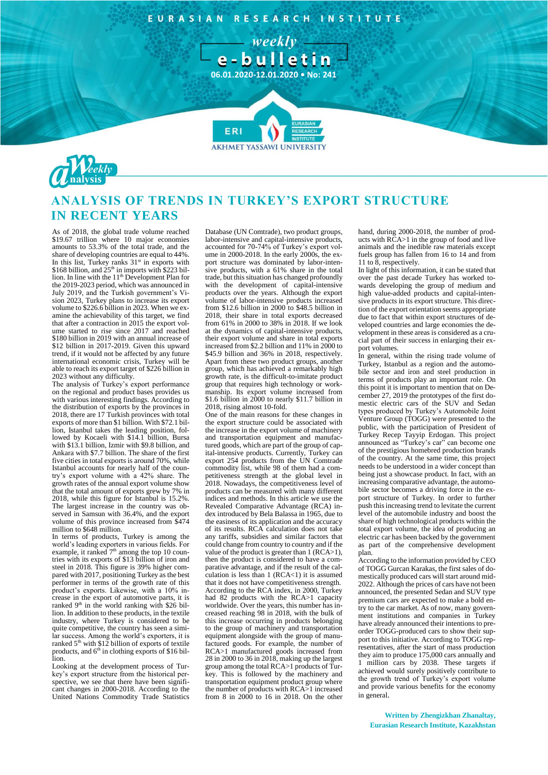EURASIAN RESEARCH INSTITUTE

- weekly -



**AKHMET YASSAWI UNIVERSIT** 



## **ANALYSIS OF TRENDS IN TURKEY'S EXPORT STRUCTURE IN RECENT YEARS**

As of 2018, the global trade volume reached \$19.67 trillion where 10 major economies amounts to 53.3% of the total trade, and the share of developing countries are equal to 44%. In this list, Turkey ranks  $31<sup>st</sup>$  in exports with  $$168$  billion, and  $25<sup>th</sup>$  in imports with  $$223$  billion. In line with the  $11<sup>th</sup>$  Development Plan for the 2019-2023 period, which was announced in July 2019, and the Turkish government's Vision 2023, Turkey plans to increase its export volume to \$226.6 billion in 2023. When we examine the achievability of this target, we find that after a contraction in 2015 the export volume started to rise since 2017 and reached \$180 billion in 2019 with an annual increase of \$12 billion in 2017-2019. Given this upward trend, if it would not be affected by any future international economic crisis, Turkey will be able to reach its export target of \$226 billion in 2023 without any difficulty.

The analysis of Turkey's export performance on the regional and product bases provides us with various interesting findings. According to the distribution of exports by the provinces in 2018, there are 17 Turkish provinces with total exports of more than \$1 billion. With \$72.1 billion, Istanbul takes the leading position, followed by Kocaeli with \$14.1 billion, Bursa with \$13.1 billion, Izmir with \$9.8 billion, and Ankara with \$7.7 billion. The share of the first five cities in total exports is around 70%, while Istanbul accounts for nearly half of the country's export volume with a 42% share. The growth rates of the annual export volume show that the total amount of exports grew by 7% in 2018, while this figure for Istanbul is 15.2%. The largest increase in the country was observed in Samsun with 36.4%, and the export volume of this province increased from \$474 million to \$648 million.

In terms of products, Turkey is among the world's leading exporters in various fields. For example, it ranked  $7<sup>th</sup>$  among the top 10 countries with its exports of \$13 billion of iron and steel in 2018. This figure is 39% higher compared with 2017, positioning Turkey as the best performer in terms of the growth rate of this product's exports. Likewise, with a 10% increase in the export of automotive parts, it is ranked 9<sup>th</sup> in the world ranking with \$26 billion. In addition to these products, in the textile industry, where Turkey is considered to be quite competitive, the country has seen a similar success. Among the world's exporters, it is ranked  $5<sup>th</sup>$  with \$12 billion of exports of textile products, and  $6<sup>th</sup>$  in clothing exports of \$16 billion.

Looking at the development process of Turkey's export structure from the historical perspective, we see that there have been significant changes in 2000-2018. According to the United Nations Commodity Trade Statistics

Database (UN Comtrade), two product groups, labor-intensive and capital-intensive products, accounted for 70-74% of Turkey's export volume in 2000-2018. In the early 2000s, the export structure was dominated by labor-intensive products, with a 61% share in the total trade, but this situation has changed profoundly with the development of capital-intensive products over the years. Although the export volume of labor-intensive products increased from \$12.6 billion in 2000 to \$48.5 billion in 2018, their share in total exports decreased from 61% in 2000 to 38% in 2018. If we look at the dynamics of capital-intensive products, their export volume and share in total exports increased from \$2.2 billion and 11% in 2000 to \$45.9 billion and 36% in 2018, respectively. Apart from these two product groups, another group, which has achieved a remarkably high growth rate, is the difficult-to-imitate product group that requires high technology or workmanship. Its export volume increased from \$1.6 billion in 2000 to nearly \$11.7 billion in 2018, rising almost 10-fold.

One of the main reasons for these changes in the export structure could be associated with the increase in the export volume of machinery and transportation equipment and manufactured goods, which are part of the group of capital-intensive products. Currently, Turkey can export 254 products from the UN Comtrade commodity list, while 98 of them had a competitiveness strength at the global level in 2018. Nowadays, the competitiveness level of products can be measured with many different indices and methods. In this article we use the Revealed Comparative Advantage (RCA) index introduced by Bela Balassa in 1965, due to the easiness of its application and the accuracy of its results. RCA calculation does not take any tariffs, subsidies and similar factors that could change from country to country and if the value of the product is greater than 1 (RCA>1), then the product is considered to have a comparative advantage, and if the result of the calculation is less than  $1$  (RCA<1) it is assumed that it does not have competitiveness strength. According to the RCA index, in 2000, Turkey had 82 products with the RCA>1 capacity worldwide. Over the years, this number has increased reaching 98 in 2018, with the bulk of this increase occurring in products belonging to the group of machinery and transportation equipment alongside with the group of manufactured goods. For example, the number of RCA>1 manufactured goods increased from 28 in 2000 to 36 in 2018, making up the largest group among the total RCA>1 products of Turkey. This is followed by the machinery and transportation equipment product group where the number of products with RCA>1 increased from 8 in 2000 to 16 in 2018. On the other

hand, during 2000-2018, the number of products with RCA>1 in the group of food and live animals and the inedible raw materials except fuels group has fallen from 16 to 14 and from 11 to 8, respectively.

In light of this information, it can be stated that over the past decade Turkey has worked towards developing the group of medium and high value-added products and capital-intensive products in its export structure. This direction of the export orientation seems appropriate due to fact that within export structures of developed countries and large economies the development in these areas is considered as a crucial part of their success in enlarging their export volumes.

In general, within the rising trade volume of Turkey, Istanbul as a region and the automobile sector and iron and steel production in terms of products play an important role. On this point it is important to mention that on December 27, 2019 the prototypes of the first domestic electric cars of the SUV and Sedan types produced by Turkey's Automobile Joint Venture Group (TOGG) were presented to the public, with the participation of President of Turkey Recep Tayyip Erdogan. This project announced as "Turkey's car" can become one of the prestigious homebred production brands of the country. At the same time, this project needs to be understood in a wider concept than being just a showcase product. In fact, with an increasing comparative advantage, the automobile sector becomes a driving force in the export structure of Turkey. In order to further push this increasing trend to levitate the current level of the automobile industry and boost the share of high technological products within the total export volume, the idea of producing an electric car has been backed by the government as part of the comprehensive development plan.

According to the information provided by CEO of TOGG Gurcan Karakas, the first sales of domestically produced cars will start around mid-2022. Although the prices of cars have not been announced, the presented Sedan and SUV type premium cars are expected to make a bold entry to the car market. As of now, many government institutions and companies in Turkey have already announced their intentions to preorder TOGG-produced cars to show their support to this initiative. According to TOGG representatives, after the start of mass production they aim to produce 175,000 cars annually and 1 million cars by 2038. These targets if achieved would surely positively contribute to the growth trend of Turkey's export volume and provide various benefits for the economy in general.

**Written by Zhengizkhan Zhanaltay, Eurasian Research Institute, Kazakhstan**